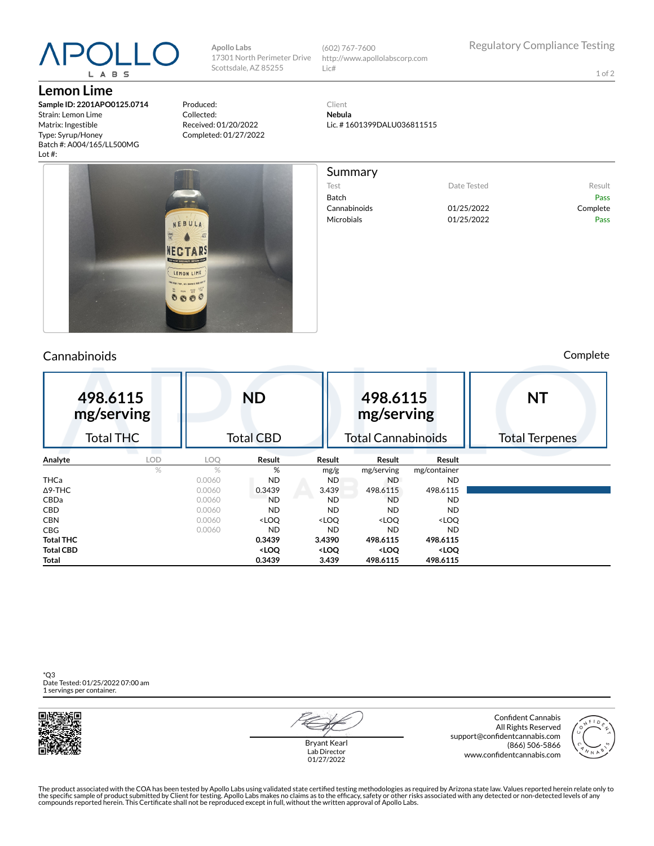# L A B S

**Lemon Lime**

**Sample ID: 2201APO0125.0714** Strain: Lemon Lime Matrix: Ingestible Type: Syrup/Honey Batch #: A004/165/LL500MG Lot #:

Produced: Collected: Received: 01/20/2022 Completed: 01/27/2022

**Apollo Labs**

17301 North Perimeter Drive Scottsdale, AZ 85255

Client

http://www.apollolabscorp.com

(602) 767-7600

Lic#

**Nebula** Lic. # 1601399DALU036811515



### Cannabinoids Complete

Test **Date Tested** Result

Cannabinoids 01/25/2022 Complete Microbials **01/25/2022** Pass

Batch Pass

| 498.6115<br>mg/serving |            | <b>ND</b>        |                                                                                                                  |                                                                                      | 498.6115<br>mg/serving                                   |                              | <b>NT</b>             |  |
|------------------------|------------|------------------|------------------------------------------------------------------------------------------------------------------|--------------------------------------------------------------------------------------|----------------------------------------------------------|------------------------------|-----------------------|--|
| <b>Total THC</b>       |            | <b>Total CBD</b> |                                                                                                                  |                                                                                      | <b>Total Cannabinoids</b>                                |                              | <b>Total Terpenes</b> |  |
| Analyte                | <b>LOD</b> | LOQ              | Result                                                                                                           | Result                                                                               | Result                                                   | Result                       |                       |  |
|                        | $\%$       | $\%$             | %                                                                                                                | mg/g                                                                                 | mg/serving                                               | mg/container                 |                       |  |
| <b>THCa</b>            |            | 0.0060           | <b>ND</b>                                                                                                        | ND.                                                                                  | ND.                                                      | ND.                          |                       |  |
| $\Delta$ 9-THC         |            | 0.0060           | 0.3439                                                                                                           | 3.439                                                                                | 498.6115                                                 | 498.6115                     |                       |  |
| CBDa                   |            | 0.0060           | <b>ND</b>                                                                                                        | ND.                                                                                  | <b>ND</b>                                                | <b>ND</b>                    |                       |  |
| <b>CBD</b>             |            | 0.0060           | <b>ND</b>                                                                                                        | <b>ND</b>                                                                            | <b>ND</b>                                                | <b>ND</b>                    |                       |  |
| <b>CBN</b>             |            | 0.0060           | <loq< td=""><td><loq< td=""><td><loo< td=""><td><loq< td=""><td></td></loq<></td></loo<></td></loq<></td></loq<> | <loq< td=""><td><loo< td=""><td><loq< td=""><td></td></loq<></td></loo<></td></loq<> | <loo< td=""><td><loq< td=""><td></td></loq<></td></loo<> | <loq< td=""><td></td></loq<> |                       |  |
| <b>CBG</b>             |            | 0.0060           | <b>ND</b>                                                                                                        | <b>ND</b>                                                                            | <b>ND</b>                                                | <b>ND</b>                    |                       |  |
| <b>Total THC</b>       |            |                  | 0.3439                                                                                                           | 3.4390                                                                               | 498.6115                                                 | 498.6115                     |                       |  |
| <b>Total CBD</b>       |            |                  | <loq< td=""><td><loq< td=""><td><loq< td=""><td><loq< td=""><td></td></loq<></td></loq<></td></loq<></td></loq<> | <loq< td=""><td><loq< td=""><td><loq< td=""><td></td></loq<></td></loq<></td></loq<> | <loq< td=""><td><loq< td=""><td></td></loq<></td></loq<> | <loq< td=""><td></td></loq<> |                       |  |
| Total                  |            |                  | 0.3439                                                                                                           | 3.439                                                                                | 498.6115                                                 | 498.6115                     |                       |  |

\*Q3 Date Tested: 01/25/2022 07:00 am 1 servings per container.



Bryant Kearl Lab Director 01/27/2022

Confident Cannabis All Rights Reserved support@confidentcannabis.com (866) 506-5866 www.confidentcannabis.com



The product associated with the COA has been tested by Apollo Labs using validated state certified testing methodologies as required by Arizona state law. Values reported herein relate only to<br>the specific sample of produc

1 of 2